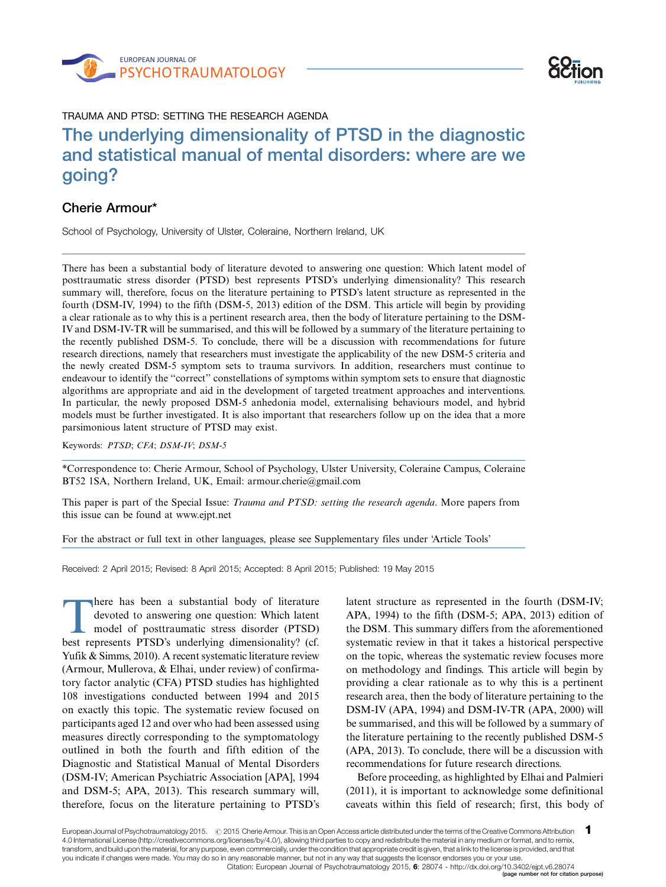



# TRAUMA AND PTSD: SETTING THE RESEARCH AGENDA -

# The underlying dimensionality of PTSD in the diagnostic and statistical manual of mental disorders: where are we going?

# Cherie Armour\*

School of Psychology, University of Ulster, Coleraine, Northern Ireland, UK

There has been a substantial body of literature devoted to answering one question: Which latent model of posttraumatic stress disorder (PTSD) best represents PTSD's underlying dimensionality? This research summary will, therefore, focus on the literature pertaining to PTSD's latent structure as represented in the fourth (DSM-IV, 1994) to the fifth (DSM-5, 2013) edition of the DSM. This article will begin by providing a clear rationale as to why this is a pertinent research area, then the body of literature pertaining to the DSM-IV and DSM-IV-TR will be summarised, and this will be followed by a summary of the literature pertaining to the recently published DSM-5. To conclude, there will be a discussion with recommendations for future research directions, namely that researchers must investigate the applicability of the new DSM-5 criteria and the newly created DSM-5 symptom sets to trauma survivors. In addition, researchers must continue to endeavour to identify the ''correct'' constellations of symptoms within symptom sets to ensure that diagnostic algorithms are appropriate and aid in the development of targeted treatment approaches and interventions. In particular, the newly proposed DSM-5 anhedonia model, externalising behaviours model, and hybrid models must be further investigated. It is also important that researchers follow up on the idea that a more parsimonious latent structure of PTSD may exist.

Keywords: PTSD; CFA; DSM-IV; DSM-5

\*Correspondence to: Cherie Armour, School of Psychology, Ulster University, Coleraine Campus, Coleraine BT52 1SA, Northern Ireland, UK, Email: armour.cherie@gmail.com

This paper is part of the Special Issue: [Trauma and PTSD: setting the research agenda](http://www.ejpt.net/index.php/ejpt/issue/view/1666#issue1666). More papers from [this issue can be found at www.ejpt.net](http://www.ejpt.net/index.php/ejpt/issue/view/1666#issue1666)

[For the abstract or full text in other languages, please see Supplementary files under 'Article Tools'](http://www.ejpt.net/index.php/ejpt/rt/suppFiles/28074/0)

Received: 2 April 2015; Revised: 8 April 2015; Accepted: 8 April 2015; Published: 19 May 2015

There has been a substantial body of literature<br>devoted to answering one question: Which latent<br>model of posttraumatic stress disorder (PTSD)<br>hest represents PTSD's underlying dimensionality? (cf devoted to answering one question: Which latent model of posttraumatic stress disorder (PTSD) best represents PTSD's underlying dimensionality? (cf. Yufik & Simms, 2010). A recent systematic literature review (Armour, Mullerova, & Elhai, under review) of confirmatory factor analytic (CFA) PTSD studies has highlighted 108 investigations conducted between 1994 and 2015 on exactly this topic. The systematic review focused on participants aged 12 and over who had been assessed using measures directly corresponding to the symptomatology outlined in both the fourth and fifth edition of the Diagnostic and Statistical Manual of Mental Disorders (DSM-IV; American Psychiatric Association [APA], 1994 and DSM-5; APA, 2013). This research summary will, therefore, focus on the literature pertaining to PTSD's latent structure as represented in the fourth (DSM-IV; APA, 1994) to the fifth (DSM-5; APA, 2013) edition of the DSM. This summary differs from the aforementioned systematic review in that it takes a historical perspective on the topic, whereas the systematic review focuses more on methodology and findings. This article will begin by providing a clear rationale as to why this is a pertinent research area, then the body of literature pertaining to the DSM-IV (APA, 1994) and DSM-IV-TR (APA, 2000) will be summarised, and this will be followed by a summary of the literature pertaining to the recently published DSM-5 (APA, 2013). To conclude, there will be a discussion with recommendations for future research directions.

Before proceeding, as highlighted by Elhai and Palmieri (2011), it is important to acknowledge some definitional caveats within this field of research; first, this body of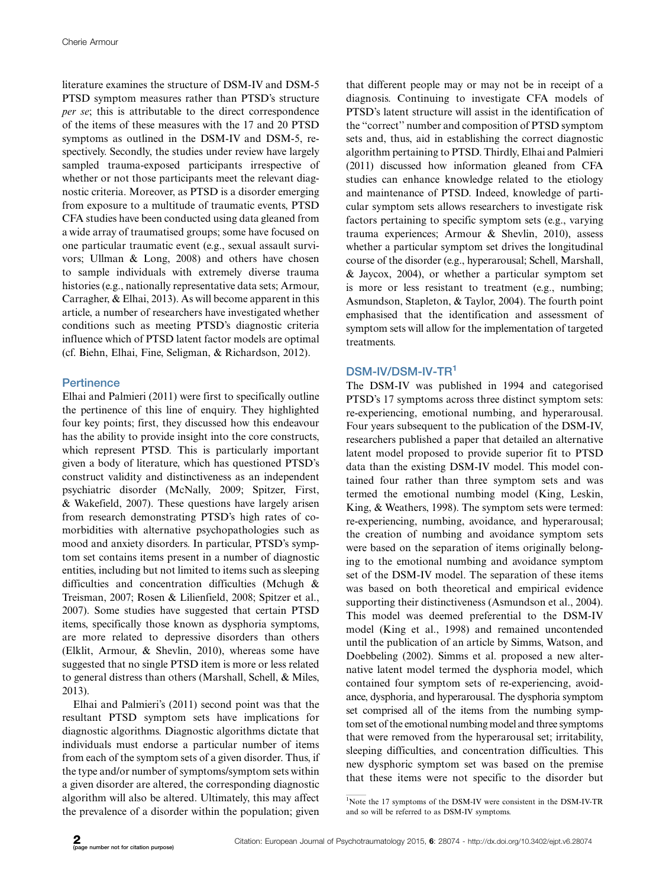literature examines the structure of DSM-IV and DSM-5 PTSD symptom measures rather than PTSD's structure per se; this is attributable to the direct correspondence of the items of these measures with the 17 and 20 PTSD symptoms as outlined in the DSM-IV and DSM-5, respectively. Secondly, the studies under review have largely sampled trauma-exposed participants irrespective of whether or not those participants meet the relevant diagnostic criteria. Moreover, as PTSD is a disorder emerging from exposure to a multitude of traumatic events, PTSD CFA studies have been conducted using data gleaned from a wide array of traumatised groups; some have focused on one particular traumatic event (e.g., sexual assault survivors; Ullman & Long, 2008) and others have chosen to sample individuals with extremely diverse trauma histories (e.g., nationally representative data sets; Armour, Carragher, & Elhai, 2013). As will become apparent in this article, a number of researchers have investigated whether conditions such as meeting PTSD's diagnostic criteria influence which of PTSD latent factor models are optimal (cf. Biehn, Elhai, Fine, Seligman, & Richardson, 2012).

## **Pertinence**

Elhai and Palmieri (2011) were first to specifically outline the pertinence of this line of enquiry. They highlighted four key points; first, they discussed how this endeavour has the ability to provide insight into the core constructs, which represent PTSD. This is particularly important given a body of literature, which has questioned PTSD's construct validity and distinctiveness as an independent psychiatric disorder (McNally, 2009; Spitzer, First, & Wakefield, 2007). These questions have largely arisen from research demonstrating PTSD's high rates of comorbidities with alternative psychopathologies such as mood and anxiety disorders. In particular, PTSD's symptom set contains items present in a number of diagnostic entities, including but not limited to items such as sleeping difficulties and concentration difficulties (Mchugh & Treisman, 2007; Rosen & Lilienfield, 2008; Spitzer et al., 2007). Some studies have suggested that certain PTSD items, specifically those known as dysphoria symptoms, are more related to depressive disorders than others (Elklit, Armour, & Shevlin, 2010), whereas some have suggested that no single PTSD item is more or less related to general distress than others (Marshall, Schell, & Miles, 2013).

Elhai and Palmieri's (2011) second point was that the resultant PTSD symptom sets have implications for diagnostic algorithms. Diagnostic algorithms dictate that individuals must endorse a particular number of items from each of the symptom sets of a given disorder. Thus, if the type and/or number of symptoms/symptom sets within a given disorder are altered, the corresponding diagnostic algorithm will also be altered. Ultimately, this may affect the prevalence of a disorder within the population; given

that different people may or may not be in receipt of a diagnosis. Continuing to investigate CFA models of PTSD's latent structure will assist in the identification of the ''correct'' number and composition of PTSD symptom sets and, thus, aid in establishing the correct diagnostic algorithm pertaining to PTSD. Thirdly, Elhai and Palmieri (2011) discussed how information gleaned from CFA studies can enhance knowledge related to the etiology and maintenance of PTSD. Indeed, knowledge of particular symptom sets allows researchers to investigate risk factors pertaining to specific symptom sets (e.g., varying trauma experiences; Armour & Shevlin, 2010), assess whether a particular symptom set drives the longitudinal course of the disorder (e.g., hyperarousal; Schell, Marshall, & Jaycox, 2004), or whether a particular symptom set is more or less resistant to treatment (e.g., numbing; Asmundson, Stapleton, & Taylor, 2004). The fourth point emphasised that the identification and assessment of symptom sets will allow for the implementation of targeted treatments.

### DSM-IV/DSM-IV-TR<sup>1</sup>

The DSM-IV was published in 1994 and categorised PTSD's 17 symptoms across three distinct symptom sets: re-experiencing, emotional numbing, and hyperarousal. Four years subsequent to the publication of the DSM-IV, researchers published a paper that detailed an alternative latent model proposed to provide superior fit to PTSD data than the existing DSM-IV model. This model contained four rather than three symptom sets and was termed the emotional numbing model (King, Leskin, King, & Weathers, 1998). The symptom sets were termed: re-experiencing, numbing, avoidance, and hyperarousal; the creation of numbing and avoidance symptom sets were based on the separation of items originally belonging to the emotional numbing and avoidance symptom set of the DSM-IV model. The separation of these items was based on both theoretical and empirical evidence supporting their distinctiveness (Asmundson et al., 2004). This model was deemed preferential to the DSM-IV model (King et al., 1998) and remained uncontended until the publication of an article by Simms, Watson, and Doebbeling (2002). Simms et al. proposed a new alternative latent model termed the dysphoria model, which contained four symptom sets of re-experiencing, avoidance, dysphoria, and hyperarousal. The dysphoria symptom set comprised all of the items from the numbing symptom set of the emotional numbing model and three symptoms that were removed from the hyperarousal set; irritability, sleeping difficulties, and concentration difficulties. This new dysphoric symptom set was based on the premise that these items were not specific to the disorder but

<sup>&</sup>lt;sup>1</sup>Note the 17 symptoms of the DSM-IV were consistent in the DSM-IV-TR and so will be referred to as DSM-IV symptoms.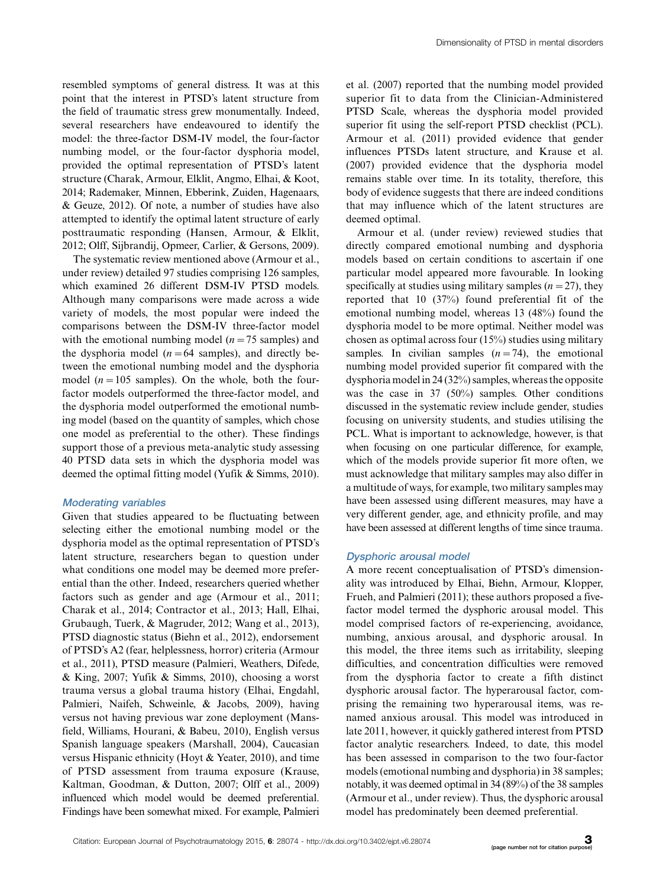resembled symptoms of general distress. It was at this point that the interest in PTSD's latent structure from the field of traumatic stress grew monumentally. Indeed, several researchers have endeavoured to identify the model: the three-factor DSM-IV model, the four-factor numbing model, or the four-factor dysphoria model, provided the optimal representation of PTSD's latent structure (Charak, Armour, Elklit, Angmo, Elhai, & Koot, 2014; Rademaker, Minnen, Ebberink, Zuiden, Hagenaars, & Geuze, 2012). Of note, a number of studies have also attempted to identify the optimal latent structure of early posttraumatic responding (Hansen, Armour, & Elklit, 2012; Olff, Sijbrandij, Opmeer, Carlier, & Gersons, 2009).

The systematic review mentioned above (Armour et al., under review) detailed 97 studies comprising 126 samples, which examined 26 different DSM-IV PTSD models. Although many comparisons were made across a wide variety of models, the most popular were indeed the comparisons between the DSM-IV three-factor model with the emotional numbing model  $(n = 75 \text{ samples})$  and the dysphoria model  $(n=64 \text{ samples})$ , and directly between the emotional numbing model and the dysphoria model ( $n = 105$  samples). On the whole, both the fourfactor models outperformed the three-factor model, and the dysphoria model outperformed the emotional numbing model (based on the quantity of samples, which chose one model as preferential to the other). These findings support those of a previous meta-analytic study assessing 40 PTSD data sets in which the dysphoria model was deemed the optimal fitting model (Yufik & Simms, 2010).

### Moderating variables

Given that studies appeared to be fluctuating between selecting either the emotional numbing model or the dysphoria model as the optimal representation of PTSD's latent structure, researchers began to question under what conditions one model may be deemed more preferential than the other. Indeed, researchers queried whether factors such as gender and age (Armour et al., 2011; Charak et al., 2014; Contractor et al., 2013; Hall, Elhai, Grubaugh, Tuerk, & Magruder, 2012; Wang et al., 2013), PTSD diagnostic status (Biehn et al., 2012), endorsement of PTSD's A2 (fear, helplessness, horror) criteria (Armour et al., 2011), PTSD measure (Palmieri, Weathers, Difede, & King, 2007; Yufik & Simms, 2010), choosing a worst trauma versus a global trauma history (Elhai, Engdahl, Palmieri, Naifeh, Schweinle, & Jacobs, 2009), having versus not having previous war zone deployment (Mansfield, Williams, Hourani, & Babeu, 2010), English versus Spanish language speakers (Marshall, 2004), Caucasian versus Hispanic ethnicity (Hoyt & Yeater, 2010), and time of PTSD assessment from trauma exposure (Krause, Kaltman, Goodman, & Dutton, 2007; Olff et al., 2009) influenced which model would be deemed preferential. Findings have been somewhat mixed. For example, Palmieri

et al. (2007) reported that the numbing model provided superior fit to data from the Clinician-Administered PTSD Scale, whereas the dysphoria model provided superior fit using the self-report PTSD checklist (PCL). Armour et al. (2011) provided evidence that gender influences PTSDs latent structure, and Krause et al. (2007) provided evidence that the dysphoria model remains stable over time. In its totality, therefore, this body of evidence suggests that there are indeed conditions that may influence which of the latent structures are deemed optimal.

Armour et al. (under review) reviewed studies that directly compared emotional numbing and dysphoria models based on certain conditions to ascertain if one particular model appeared more favourable. In looking specifically at studies using military samples  $(n = 27)$ , they reported that 10 (37%) found preferential fit of the emotional numbing model, whereas 13 (48%) found the dysphoria model to be more optimal. Neither model was chosen as optimal across four (15%) studies using military samples. In civilian samples  $(n=74)$ , the emotional numbing model provided superior fit compared with the dysphoria model in 24 (32%) samples, whereas the opposite was the case in 37 (50%) samples. Other conditions discussed in the systematic review include gender, studies focusing on university students, and studies utilising the PCL. What is important to acknowledge, however, is that when focusing on one particular difference, for example, which of the models provide superior fit more often, we must acknowledge that military samples may also differ in a multitude of ways, for example, two military samples may have been assessed using different measures, may have a very different gender, age, and ethnicity profile, and may have been assessed at different lengths of time since trauma.

### Dysphoric arousal model

A more recent conceptualisation of PTSD's dimensionality was introduced by Elhai, Biehn, Armour, Klopper, Frueh, and Palmieri (2011); these authors proposed a fivefactor model termed the dysphoric arousal model. This model comprised factors of re-experiencing, avoidance, numbing, anxious arousal, and dysphoric arousal. In this model, the three items such as irritability, sleeping difficulties, and concentration difficulties were removed from the dysphoria factor to create a fifth distinct dysphoric arousal factor. The hyperarousal factor, comprising the remaining two hyperarousal items, was renamed anxious arousal. This model was introduced in late 2011, however, it quickly gathered interest from PTSD factor analytic researchers. Indeed, to date, this model has been assessed in comparison to the two four-factor models (emotional numbing and dysphoria) in 38 samples; notably, it was deemed optimal in 34 (89%) of the 38 samples (Armour et al., under review). Thus, the dysphoric arousal model has predominately been deemed preferential.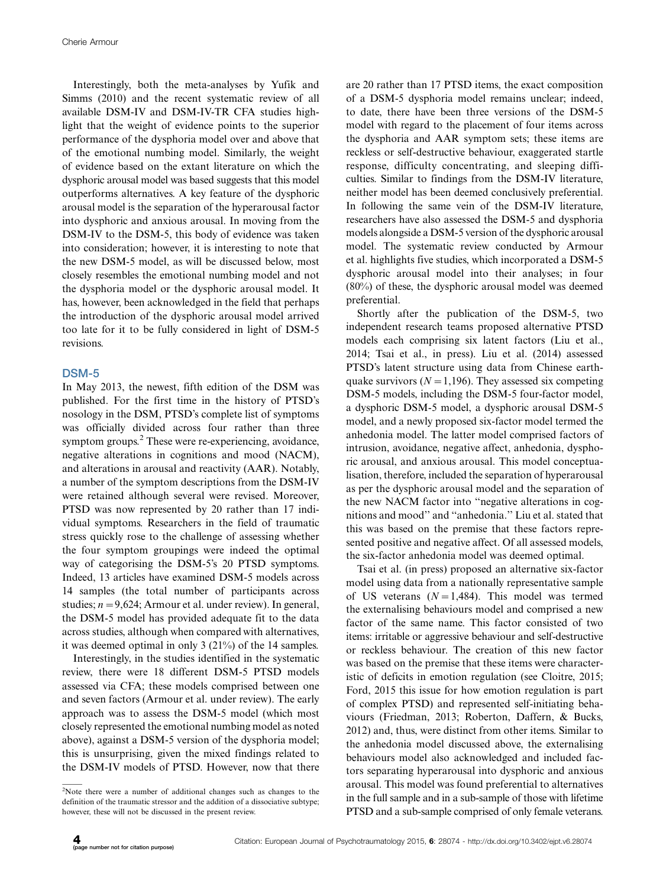Interestingly, both the meta-analyses by Yufik and Simms (2010) and the recent systematic review of all available DSM-IV and DSM-IV-TR CFA studies highlight that the weight of evidence points to the superior performance of the dysphoria model over and above that of the emotional numbing model. Similarly, the weight of evidence based on the extant literature on which the dysphoric arousal model was based suggests that this model outperforms alternatives. A key feature of the dysphoric arousal model is the separation of the hyperarousal factor into dysphoric and anxious arousal. In moving from the DSM-IV to the DSM-5, this body of evidence was taken into consideration; however, it is interesting to note that the new DSM-5 model, as will be discussed below, most closely resembles the emotional numbing model and not the dysphoria model or the dysphoric arousal model. It has, however, been acknowledged in the field that perhaps the introduction of the dysphoric arousal model arrived too late for it to be fully considered in light of DSM-5 revisions.

### DSM-5

In May 2013, the newest, fifth edition of the DSM was published. For the first time in the history of PTSD's nosology in the DSM, PTSD's complete list of symptoms was officially divided across four rather than three symptom groups.<sup>2</sup> These were re-experiencing, avoidance, negative alterations in cognitions and mood (NACM), and alterations in arousal and reactivity (AAR). Notably, a number of the symptom descriptions from the DSM-IV were retained although several were revised. Moreover, PTSD was now represented by 20 rather than 17 individual symptoms. Researchers in the field of traumatic stress quickly rose to the challenge of assessing whether the four symptom groupings were indeed the optimal way of categorising the DSM-5's 20 PTSD symptoms. Indeed, 13 articles have examined DSM-5 models across 14 samples (the total number of participants across studies;  $n = 9,624$ ; Armour et al. under review). In general, the DSM-5 model has provided adequate fit to the data across studies, although when compared with alternatives, it was deemed optimal in only 3 (21%) of the 14 samples.

Interestingly, in the studies identified in the systematic review, there were 18 different DSM-5 PTSD models assessed via CFA; these models comprised between one and seven factors (Armour et al. under review). The early approach was to assess the DSM-5 model (which most closely represented the emotional numbing model as noted above), against a DSM-5 version of the dysphoria model; this is unsurprising, given the mixed findings related to the DSM-IV models of PTSD. However, now that there are 20 rather than 17 PTSD items, the exact composition of a DSM-5 dysphoria model remains unclear; indeed, to date, there have been three versions of the DSM-5 model with regard to the placement of four items across the dysphoria and AAR symptom sets; these items are reckless or self-destructive behaviour, exaggerated startle response, difficulty concentrating, and sleeping difficulties. Similar to findings from the DSM-IV literature, neither model has been deemed conclusively preferential. In following the same vein of the DSM-IV literature, researchers have also assessed the DSM-5 and dysphoria models alongside a DSM-5 version of the dysphoric arousal model. The systematic review conducted by Armour et al. highlights five studies, which incorporated a DSM-5 dysphoric arousal model into their analyses; in four (80%) of these, the dysphoric arousal model was deemed preferential.

Shortly after the publication of the DSM-5, two independent research teams proposed alternative PTSD models each comprising six latent factors (Liu et al., 2014; Tsai et al., in press). Liu et al. (2014) assessed PTSD's latent structure using data from Chinese earthquake survivors ( $N = 1,196$ ). They assessed six competing DSM-5 models, including the DSM-5 four-factor model, a dysphoric DSM-5 model, a dysphoric arousal DSM-5 model, and a newly proposed six-factor model termed the anhedonia model. The latter model comprised factors of intrusion, avoidance, negative affect, anhedonia, dysphoric arousal, and anxious arousal. This model conceptualisation, therefore, included the separation of hyperarousal as per the dysphoric arousal model and the separation of the new NACM factor into ''negative alterations in cognitions and mood'' and ''anhedonia.'' Liu et al. stated that this was based on the premise that these factors represented positive and negative affect. Of all assessed models, the six-factor anhedonia model was deemed optimal.

Tsai et al. (in press) proposed an alternative six-factor model using data from a nationally representative sample of US veterans  $(N=1,484)$ . This model was termed the externalising behaviours model and comprised a new factor of the same name. This factor consisted of two items: irritable or aggressive behaviour and self-destructive or reckless behaviour. The creation of this new factor was based on the premise that these items were characteristic of deficits in emotion regulation (see Cloitre, 2015; Ford, 2015 this issue for how emotion regulation is part of complex PTSD) and represented self-initiating behaviours (Friedman, 2013; Roberton, Daffern, & Bucks, 2012) and, thus, were distinct from other items. Similar to the anhedonia model discussed above, the externalising behaviours model also acknowledged and included factors separating hyperarousal into dysphoric and anxious arousal. This model was found preferential to alternatives in the full sample and in a sub-sample of those with lifetime PTSD and a sub-sample comprised of only female veterans.

<sup>&</sup>lt;sup>2</sup>Note there were a number of additional changes such as changes to the definition of the traumatic stressor and the addition of a dissociative subtype; however, these will not be discussed in the present review.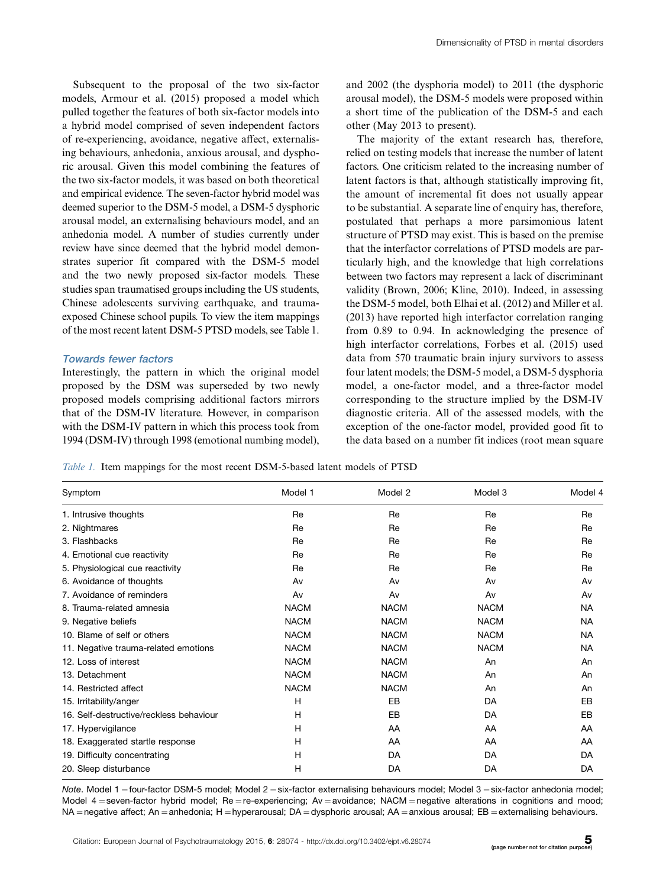Subsequent to the proposal of the two six-factor models, Armour et al. (2015) proposed a model which pulled together the features of both six-factor models into a hybrid model comprised of seven independent factors of re-experiencing, avoidance, negative affect, externalising behaviours, anhedonia, anxious arousal, and dysphoric arousal. Given this model combining the features of the two six-factor models, it was based on both theoretical and empirical evidence. The seven-factor hybrid model was deemed superior to the DSM-5 model, a DSM-5 dysphoric arousal model, an externalising behaviours model, and an anhedonia model. A number of studies currently under review have since deemed that the hybrid model demonstrates superior fit compared with the DSM-5 model and the two newly proposed six-factor models. These studies span traumatised groups including the US students, Chinese adolescents surviving earthquake, and traumaexposed Chinese school pupils. To view the item mappings of the most recent latent DSM-5 PTSD models, see Table 1.

### Towards fewer factors

Interestingly, the pattern in which the original model proposed by the DSM was superseded by two newly proposed models comprising additional factors mirrors that of the DSM-IV literature. However, in comparison with the DSM-IV pattern in which this process took from 1994 (DSM-IV) through 1998 (emotional numbing model),

and 2002 (the dysphoria model) to 2011 (the dysphoric arousal model), the DSM-5 models were proposed within a short time of the publication of the DSM-5 and each other (May 2013 to present).

The majority of the extant research has, therefore, relied on testing models that increase the number of latent factors. One criticism related to the increasing number of latent factors is that, although statistically improving fit, the amount of incremental fit does not usually appear to be substantial. A separate line of enquiry has, therefore, postulated that perhaps a more parsimonious latent structure of PTSD may exist. This is based on the premise that the interfactor correlations of PTSD models are particularly high, and the knowledge that high correlations between two factors may represent a lack of discriminant validity (Brown, 2006; Kline, 2010). Indeed, in assessing the DSM-5 model, both Elhai et al. (2012) and Miller et al. (2013) have reported high interfactor correlation ranging from 0.89 to 0.94. In acknowledging the presence of high interfactor correlations, Forbes et al. (2015) used data from 570 traumatic brain injury survivors to assess four latent models; the DSM-5 model, a DSM-5 dysphoria model, a one-factor model, and a three-factor model corresponding to the structure implied by the DSM-IV diagnostic criteria. All of the assessed models, with the exception of the one-factor model, provided good fit to the data based on a number fit indices (root mean square

Table 1. Item mappings for the most recent DSM-5-based latent models of PTSD

| Symptom                                 | Model 1     | Model 2     | Model 3     | Model 4   |
|-----------------------------------------|-------------|-------------|-------------|-----------|
| 1. Intrusive thoughts                   | Re          | Re          | <b>Re</b>   | Re        |
| 2. Nightmares                           | Re          | Re          | Re          | Re        |
| 3. Flashbacks                           | Re          | Re          | <b>Re</b>   | Re        |
| 4. Emotional cue reactivity             | Re          | Re          | <b>Re</b>   | Re        |
| 5. Physiological cue reactivity         | Re          | Re          | Re          | Re        |
| 6. Avoidance of thoughts                | Av          | Av          | Av          | Av        |
| 7. Avoidance of reminders               | Av          | Av          | Av          | Av        |
| 8. Trauma-related amnesia               | <b>NACM</b> | <b>NACM</b> | <b>NACM</b> | <b>NA</b> |
| 9. Negative beliefs                     | <b>NACM</b> | <b>NACM</b> | <b>NACM</b> | <b>NA</b> |
| 10. Blame of self or others             | <b>NACM</b> | <b>NACM</b> | <b>NACM</b> | <b>NA</b> |
| 11. Negative trauma-related emotions    | <b>NACM</b> | <b>NACM</b> | <b>NACM</b> | <b>NA</b> |
| 12. Loss of interest                    | <b>NACM</b> | <b>NACM</b> | An          | An        |
| 13. Detachment                          | <b>NACM</b> | <b>NACM</b> | An          | An        |
| 14. Restricted affect                   | <b>NACM</b> | <b>NACM</b> | An          | An        |
| 15. Irritability/anger                  | н           | EB          | DA          | EB        |
| 16. Self-destructive/reckless behaviour | н           | EB          | DA          | EB        |
| 17. Hypervigilance                      | н           | AA          | AA          | AA        |
| 18. Exaggerated startle response        | H           | AA          | AA          | AA        |
| 19. Difficulty concentrating            | H           | DA          | DA          | DA        |
| 20. Sleep disturbance                   | н           | DA          | DA          | DA        |

Note. Model 1 = four-factor DSM-5 model; Model 2 = six-factor externalising behaviours model; Model 3 = six-factor anhedonia model; Model 4=seven-factor hybrid model; Re=re-experiencing; Av=avoidance; NACM=negative alterations in cognitions and mood; NA =negative affect; An =anhedonia; H =hyperarousal; DA =dysphoric arousal; AA =anxious arousal; EB =externalising behaviours.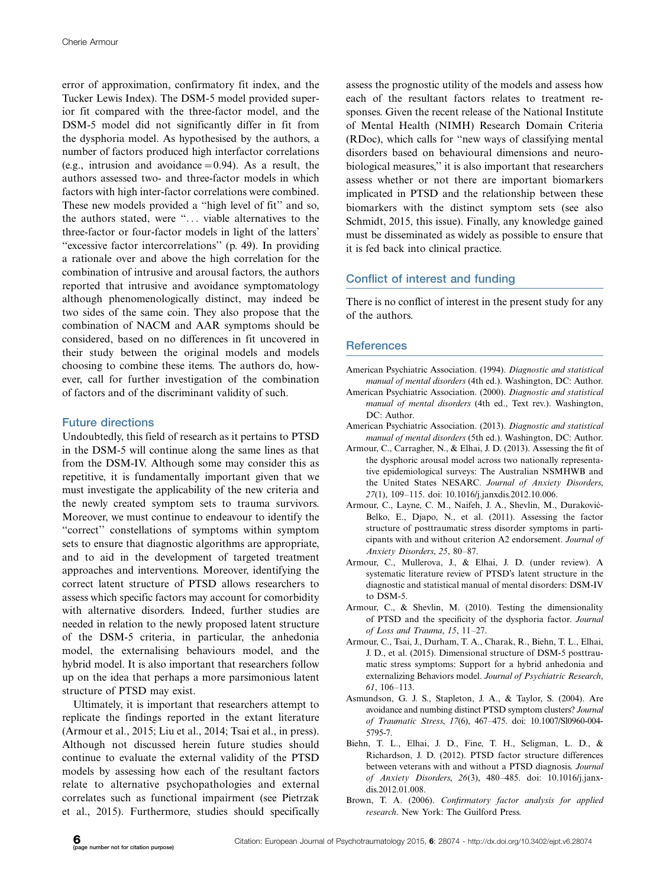error of approximation, confirmatory fit index, and the Tucker Lewis Index). The DSM-5 model provided superior fit compared with the three-factor model, and the DSM-5 model did not significantly differ in fit from the dysphoria model. As hypothesised by the authors, a number of factors produced high interfactor correlations (e.g., intrusion and avoidance  $= 0.94$ ). As a result, the authors assessed two- and three-factor models in which factors with high inter-factor correlations were combined. These new models provided a ''high level of fit'' and so, the authors stated, were ''... viable alternatives to the three-factor or four-factor models in light of the latters' "excessive factor intercorrelations" (p. 49). In providing a rationale over and above the high correlation for the combination of intrusive and arousal factors, the authors reported that intrusive and avoidance symptomatology although phenomenologically distinct, may indeed be two sides of the same coin. They also propose that the combination of NACM and AAR symptoms should be considered, based on no differences in fit uncovered in their study between the original models and models choosing to combine these items. The authors do, however, call for further investigation of the combination of factors and of the discriminant validity of such.

# Future directions

Undoubtedly, this field of research as it pertains to PTSD in the DSM-5 will continue along the same lines as that from the DSM-IV. Although some may consider this as repetitive, it is fundamentally important given that we must investigate the applicability of the new criteria and the newly created symptom sets to trauma survivors. Moreover, we must continue to endeavour to identify the "correct" constellations of symptoms within symptom sets to ensure that diagnostic algorithms are appropriate, and to aid in the development of targeted treatment approaches and interventions. Moreover, identifying the correct latent structure of PTSD allows researchers to assess which specific factors may account for comorbidity with alternative disorders. Indeed, further studies are needed in relation to the newly proposed latent structure of the DSM-5 criteria, in particular, the anhedonia model, the externalising behaviours model, and the hybrid model. It is also important that researchers follow up on the idea that perhaps a more parsimonious latent structure of PTSD may exist.

Ultimately, it is important that researchers attempt to replicate the findings reported in the extant literature (Armour et al., 2015; Liu et al., 2014; Tsai et al., in press). Although not discussed herein future studies should continue to evaluate the external validity of the PTSD models by assessing how each of the resultant factors relate to alternative psychopathologies and external correlates such as functional impairment (see Pietrzak et al., 2015). Furthermore, studies should specifically assess the prognostic utility of the models and assess how each of the resultant factors relates to treatment responses. Given the recent release of the National Institute of Mental Health (NIMH) Research Domain Criteria (RDoc), which calls for ''new ways of classifying mental disorders based on behavioural dimensions and neurobiological measures,'' it is also important that researchers assess whether or not there are important biomarkers implicated in PTSD and the relationship between these biomarkers with the distinct symptom sets (see also Schmidt, 2015, this issue). Finally, any knowledge gained must be disseminated as widely as possible to ensure that it is fed back into clinical practice.

# Conflict of interest and funding

There is no conflict of interest in the present study for any of the authors.

# **References**

- American Psychiatric Association. (1994). Diagnostic and statistical manual of mental disorders (4th ed.). Washington, DC: Author.
- American Psychiatric Association. (2000). Diagnostic and statistical manual of mental disorders (4th ed., Text rev.). Washington, DC: Author.
- American Psychiatric Association. (2013). Diagnostic and statistical manual of mental disorders (5th ed.). Washington, DC: Author.
- Armour, C., Carragher, N., & Elhai, J. D. (2013). Assessing the fit of the dysphoric arousal model across two nationally representative epidemiological surveys: The Australian NSMHWB and the United States NESARC. Journal of Anxiety Disorders, 27(1), 109-115. doi: 10.1016/j.janxdis.2012.10.006.
- Armour, C., Layne, C. M., Naifeh, J. A., Shevlin, M., Duraković-Belko, E., Djapo, N., et al. (2011). Assessing the factor structure of posttraumatic stress disorder symptoms in participants with and without criterion A2 endorsement. Journal of Anxiety Disorders, 25, 80-87.
- Armour, C., Mullerova, J., & Elhai, J. D. (under review). A systematic literature review of PTSD's latent structure in the diagnostic and statistical manual of mental disorders: DSM-IV to DSM-5.
- Armour, C., & Shevlin, M. (2010). Testing the dimensionality of PTSD and the specificity of the dysphoria factor. Journal of Loss and Trauma, 15,  $11-27$ .
- Armour, C., Tsai, J., Durham, T. A., Charak, R., Biehn, T. L., Elhai, J. D., et al. (2015). Dimensional structure of DSM-5 posttraumatic stress symptoms: Support for a hybrid anhedonia and externalizing Behaviors model. Journal of Psychiatric Research, 61,  $106-113$ .
- Asmundson, G. J. S., Stapleton, J. A., & Taylor, S. (2004). Are avoidance and numbing distinct PTSD symptom clusters? Journal of Traumatic Stress, 17(6), 467-475. doi: 10.1007/Sl0960-004-5795-7.
- Biehn, T. L., Elhai, J. D., Fine, T. H., Seligman, L. D., & Richardson, J. D. (2012). PTSD factor structure differences between veterans with and without a PTSD diagnosis. Journal of Anxiety Disorders, 26(3), 480485. doi: 10.1016/j.janxdis.2012.01.008.
- Brown, T. A. (2006). Confirmatory factor analysis for applied research. New York: The Guilford Press.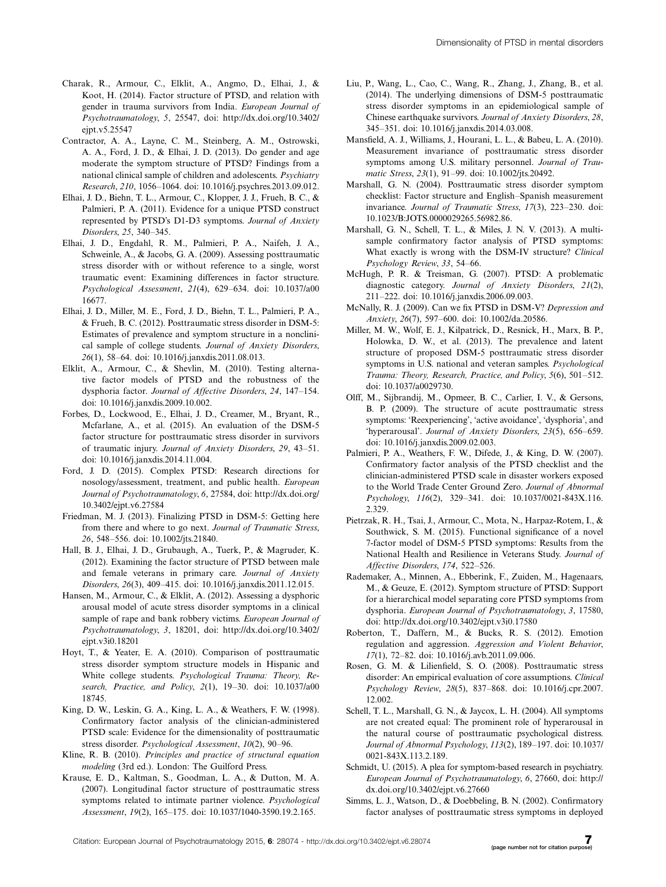- Charak, R., Armour, C., Elklit, A., Angmo, D., Elhai, J., & Koot, H. (2014). Factor structure of PTSD, and relation with gender in trauma survivors from India. European Journal of Psychotraumatology, 5, 25547, doi: [http://dx.doi.org/10.3402/](http://dx.doi.org/10.3402/ejpt.v5.25547) [ejpt.v5.25547](http://dx.doi.org/10.3402/ejpt.v5.25547)
- Contractor, A. A., Layne, C. M., Steinberg, A. M., Ostrowski, A. A., Ford, J. D., & Elhai, J. D. (2013). Do gender and age moderate the symptom structure of PTSD? Findings from a national clinical sample of children and adolescents. Psychiatry Research, 210, 1056-1064. doi: 10.1016/j.psychres.2013.09.012.
- Elhai, J. D., Biehn, T. L., Armour, C., Klopper, J. J., Frueh, B. C., & Palmieri, P. A. (2011). Evidence for a unique PTSD construct represented by PTSD's D1-D3 symptoms. Journal of Anxiety Disorders, 25, 340-345.
- Elhai, J. D., Engdahl, R. M., Palmieri, P. A., Naifeh, J. A., Schweinle, A., & Jacobs, G. A. (2009). Assessing posttraumatic stress disorder with or without reference to a single, worst traumatic event: Examining differences in factor structure. Psychological Assessment, 21(4), 629-634. doi: 10.1037/a00 16677.
- Elhai, J. D., Miller, M. E., Ford, J. D., Biehn, T. L., Palmieri, P. A., & Frueh, B. C. (2012). Posttraumatic stress disorder in DSM-5: Estimates of prevalence and symptom structure in a nonclinical sample of college students. Journal of Anxiety Disorders, 26(1), 58-64. doi: 10.1016/j.janxdis.2011.08.013.
- Elklit, A., Armour, C., & Shevlin, M. (2010). Testing alternative factor models of PTSD and the robustness of the dysphoria factor. Journal of Affective Disorders, 24, 147-154. doi: 10.1016/j.janxdis.2009.10.002.
- Forbes, D., Lockwood, E., Elhai, J. D., Creamer, M., Bryant, R., Mcfarlane, A., et al. (2015). An evaluation of the DSM-5 factor structure for posttraumatic stress disorder in survivors of traumatic injury. Journal of Anxiety Disorders, 29, 43-51. doi: 10.1016/j.janxdis.2014.11.004.
- Ford, J. D. (2015). Complex PTSD: Research directions for nosology/assessment, treatment, and public health. European Journal of Psychotraumatology, 6, 27584, doi: [http://dx.doi.org/](http://dx.doi.org/10.3402/ejpt.v6.27584) [10.3402/ejpt.v6.27584](http://dx.doi.org/10.3402/ejpt.v6.27584)
- Friedman, M. J. (2013). Finalizing PTSD in DSM-5: Getting here from there and where to go next. Journal of Traumatic Stress, 26, 548-556. doi: 10.1002/jts.21840.
- Hall, B. J., Elhai, J. D., Grubaugh, A., Tuerk, P., & Magruder, K. (2012). Examining the factor structure of PTSD between male and female veterans in primary care. Journal of Anxiety Disorders, 26(3), 409-415. doi: 10.1016/j.janxdis.2011.12.015.
- Hansen, M., Armour, C., & Elklit, A. (2012). Assessing a dysphoric arousal model of acute stress disorder symptoms in a clinical sample of rape and bank robbery victims. European Journal of Psychotraumatology, 3, 18201, doi: [http://dx.doi.org/10.3402/](http://dx.doi.org/10.3402/ejpt.v3i0.18201) [ejpt.v3i0.18201](http://dx.doi.org/10.3402/ejpt.v3i0.18201)
- Hoyt, T., & Yeater, E. A. (2010). Comparison of posttraumatic stress disorder symptom structure models in Hispanic and White college students. Psychological Trauma: Theory, Research, Practice, and Policy, 2(1), 19-30. doi: 10.1037/a00 18745.
- King, D. W., Leskin, G. A., King, L. A., & Weathers, F. W. (1998). Confirmatory factor analysis of the clinician-administered PTSD scale: Evidence for the dimensionality of posttraumatic stress disorder. Psychological Assessment, 10(2), 90-96.
- Kline, R. B. (2010). Principles and practice of structural equation modeling (3rd ed.). London: The Guilford Press.
- Krause, E. D., Kaltman, S., Goodman, L. A., & Dutton, M. A. (2007). Longitudinal factor structure of posttraumatic stress symptoms related to intimate partner violence. Psychological Assessment, 19(2), 165-175. doi: 10.1037/1040-3590.19.2.165.
- Liu, P., Wang, L., Cao, C., Wang, R., Zhang, J., Zhang, B., et al. (2014). The underlying dimensions of DSM-5 posttraumatic stress disorder symptoms in an epidemiological sample of Chinese earthquake survivors. Journal of Anxiety Disorders, 28, 345351. doi: 10.1016/j.janxdis.2014.03.008.
- Mansfield, A. J., Williams, J., Hourani, L. L., & Babeu, L. A. (2010). Measurement invariance of posttraumatic stress disorder symptoms among U.S. military personnel. Journal of Traumatic Stress, 23(1), 91-99. doi: 10.1002/jts.20492.
- Marshall, G. N. (2004). Posttraumatic stress disorder symptom checklist: Factor structure and English-Spanish measurement invariance. Journal of Traumatic Stress, 17(3), 223-230. doi: 10.1023/B:JOTS.0000029265.56982.86.
- Marshall, G. N., Schell, T. L., & Miles, J. N. V. (2013). A multisample confirmatory factor analysis of PTSD symptoms: What exactly is wrong with the DSM-IV structure? Clinical Psychology Review, 33, 54-66.
- McHugh, P. R. & Treisman, G. (2007). PTSD: A problematic diagnostic category. Journal of Anxiety Disorders, 21(2), 211222. doi: 10.1016/j.janxdis.2006.09.003.
- McNally, R. J. (2009). Can we fix PTSD in DSM-V? Depression and Anxiety, 26(7), 597-600. doi: 10.1002/da.20586.
- Miller, M. W., Wolf, E. J., Kilpatrick, D., Resnick, H., Marx, B. P., Holowka, D. W., et al. (2013). The prevalence and latent structure of proposed DSM-5 posttraumatic stress disorder symptoms in U.S. national and veteran samples. Psychological Trauma: Theory, Research, Practice, and Policy, 5(6), 501-512. doi: 10.1037/a0029730.
- Olff, M., Sijbrandij, M., Opmeer, B. C., Carlier, I. V., & Gersons, B. P. (2009). The structure of acute posttraumatic stress symptoms: 'Reexperiencing', 'active avoidance', 'dysphoria', and 'hyperarousal'. Journal of Anxiety Disorders, 23(5), 656-659. doi: 10.1016/j.janxdis.2009.02.003.
- Palmieri, P. A., Weathers, F. W., Difede, J., & King, D. W. (2007). Confirmatory factor analysis of the PTSD checklist and the clinician-administered PTSD scale in disaster workers exposed to the World Trade Center Ground Zero. Journal of Abnormal Psychology, 116(2), 329-341. doi: 10.1037/0021-843X.116. 2.329.
- Pietrzak, R. H., Tsai, J., Armour, C., Mota, N., Harpaz-Rotem, I., & Southwick, S. M. (2015). Functional significance of a novel 7-factor model of DSM-5 PTSD symptoms: Results from the National Health and Resilience in Veterans Study. Journal of Affective Disorders, 174, 522-526.
- Rademaker, A., Minnen, A., Ebberink, F., Zuiden, M., Hagenaars, M., & Geuze, E. (2012). Symptom structure of PTSD: Support for a hierarchical model separating core PTSD symptoms from dysphoria. European Journal of Psychotraumatology, 3, 17580, doi:<http://dx.doi.org/10.3402/ejpt.v3i0.17580>
- Roberton, T., Daffern, M., & Bucks, R. S. (2012). Emotion regulation and aggression. Aggression and Violent Behavior, 17(1), 72-82. doi: 10.1016/j.avb.2011.09.006.
- Rosen, G. M. & Lilienfield, S. O. (2008). Posttraumatic stress disorder: An empirical evaluation of core assumptions. Clinical Psychology Review, 28(5), 837-868. doi: 10.1016/j.cpr.2007. 12.002.
- Schell, T. L., Marshall, G. N., & Jaycox, L. H. (2004). All symptoms are not created equal: The prominent role of hyperarousal in the natural course of posttraumatic psychological distress. Journal of Abnormal Psychology, 113(2), 189-197. doi: 10.1037/ 0021-843X.113.2.189.
- Schmidt, U. (2015). A plea for symptom-based research in psychiatry. European Journal of Psychotraumatology, 6, 27660, doi: [http://](http://dx.doi.org/10.3402/ejpt.v6.27660) [dx.doi.org/10.3402/ejpt.v6.27660](http://dx.doi.org/10.3402/ejpt.v6.27660)
- Simms, L. J., Watson, D., & Doebbeling, B. N. (2002). Confirmatory factor analyses of posttraumatic stress symptoms in deployed